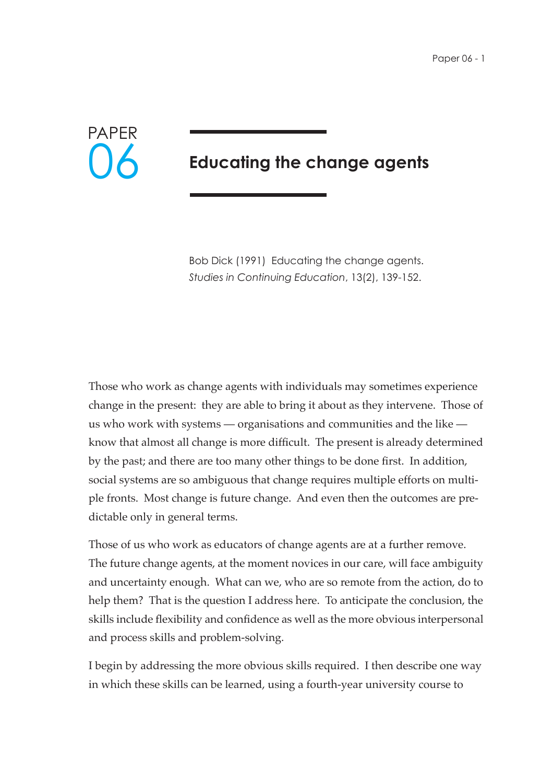

# **Educating the change agents**

Bob Dick (1991) Educating the change agents. *Studies in Continuing Education*, 13(2), 139-152.

Those who work as change agents with individuals may sometimes experience change in the present: they are able to bring it about as they intervene. Those of us who work with systems — organisations and communities and the like know that almost all change is more difficult. The present is already determined by the past; and there are too many other things to be done first. In addition, social systems are so ambiguous that change requires multiple efforts on multiple fronts. Most change is future change. And even then the outcomes are predictable only in general terms.

Those of us who work as educators of change agents are at a further remove. The future change agents, at the moment novices in our care, will face ambiguity and uncertainty enough. What can we, who are so remote from the action, do to help them? That is the question I address here. To anticipate the conclusion, the skills include flexibility and confidence as well as the more obvious interpersonal and process skills and problem-solving.

I begin by addressing the more obvious skills required. I then describe one way in which these skills can be learned, using a fourth-year university course to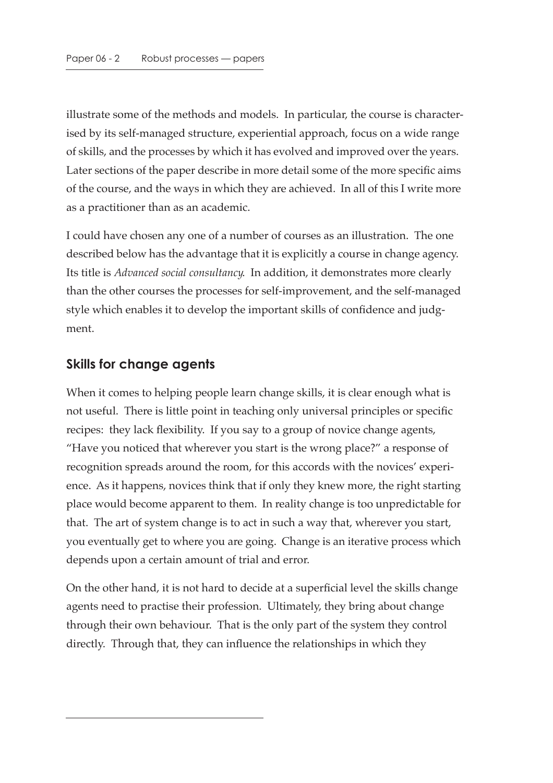illustrate some of the methods and models. In particular, the course is characterised by its self-managed structure, experiential approach, focus on a wide range of skills, and the processes by which it has evolved and improved over the years. Later sections of the paper describe in more detail some of the more specific aims of the course, and the ways in which they are achieved. In all of this I write more as a practitioner than as an academic.

I could have chosen any one of a number of courses as an illustration. The one described below has the advantage that it is explicitly a course in change agency. Its title is *Advanced social consultancy*. In addition, it demonstrates more clearly than the other courses the processes for self-improvement, and the self-managed style which enables it to develop the important skills of confidence and judgment.

# **Skills for change agents**

When it comes to helping people learn change skills, it is clear enough what is not useful. There is little point in teaching only universal principles or specific recipes: they lack flexibility. If you say to a group of novice change agents, "Have you noticed that wherever you start is the wrong place?" a response of recognition spreads around the room, for this accords with the novices' experience. As it happens, novices think that if only they knew more, the right starting place would become apparent to them. In reality change is too unpredictable for that. The art of system change is to act in such a way that, wherever you start, you eventually get to where you are going. Change is an iterative process which depends upon a certain amount of trial and error.

On the other hand, it is not hard to decide at a superficial level the skills change agents need to practise their profession. Ultimately, they bring about change through their own behaviour. That is the only part of the system they control directly. Through that, they can influence the relationships in which they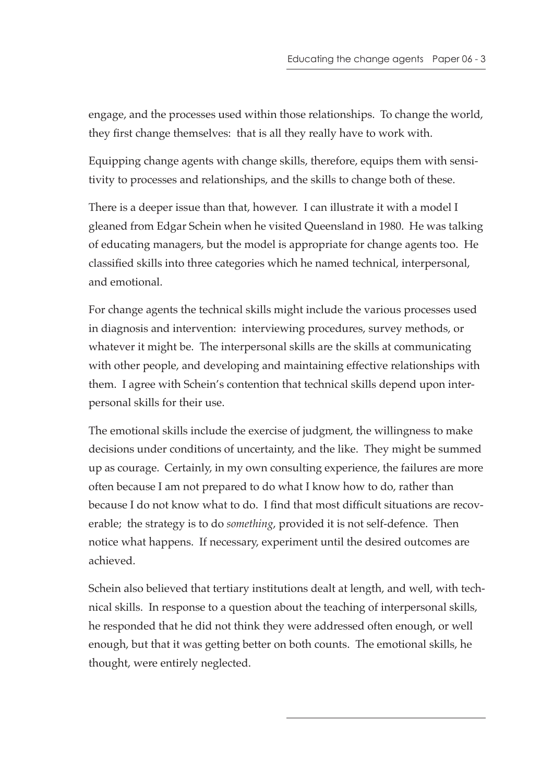engage, and the processes used within those relationships. To change the world, they first change themselves: that is all they really have to work with.

Equipping change agents with change skills, therefore, equips them with sensitivity to processes and relationships, and the skills to change both of these.

There is a deeper issue than that, however. I can illustrate it with a model I gleaned from Edgar Schein when he visited Queensland in 1980. He was talking of educating managers, but the model is appropriate for change agents too. He classified skills into three categories which he named technical, interpersonal, and emotional.

For change agents the technical skills might include the various processes used in diagnosis and intervention: interviewing procedures, survey methods, or whatever it might be. The interpersonal skills are the skills at communicating with other people, and developing and maintaining effective relationships with them. I agree with Schein's contention that technical skills depend upon interpersonal skills for their use.

The emotional skills include the exercise of judgment, the willingness to make decisions under conditions of uncertainty, and the like. They might be summed up as courage. Certainly, in my own consulting experience, the failures are more often because I am not prepared to do what I know how to do, rather than because I do not know what to do. I find that most difficult situations are recoverable; the strategy is to do *something*, provided it is not self-defence. Then notice what happens. If necessary, experiment until the desired outcomes are achieved.

Schein also believed that tertiary institutions dealt at length, and well, with technical skills. In response to a question about the teaching of interpersonal skills, he responded that he did not think they were addressed often enough, or well enough, but that it was getting better on both counts. The emotional skills, he thought, were entirely neglected.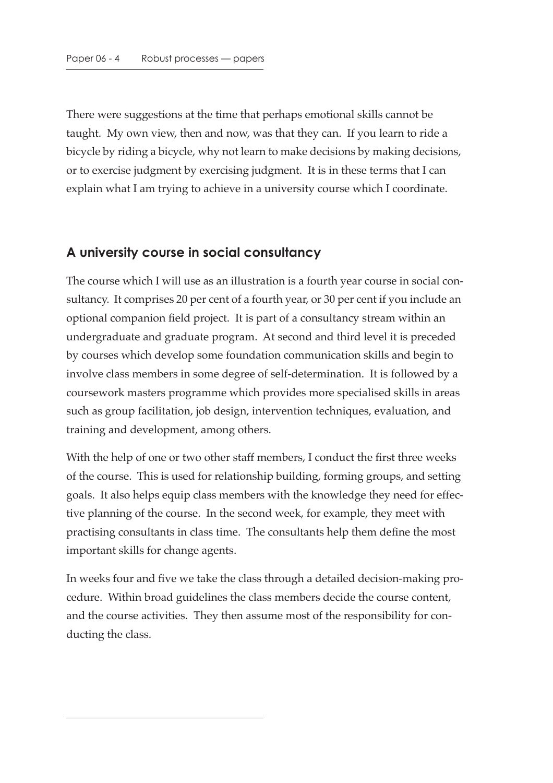There were suggestions at the time that perhaps emotional skills cannot be taught. My own view, then and now, was that they can. If you learn to ride a bicycle by riding a bicycle, why not learn to make decisions by making decisions, or to exercise judgment by exercising judgment. It is in these terms that I can explain what I am trying to achieve in a university course which I coordinate.

# **A university course in social consultancy**

The course which I will use as an illustration is a fourth year course in social consultancy. It comprises 20 per cent of a fourth year, or 30 per cent if you include an optional companion field project. It is part of a consultancy stream within an undergraduate and graduate program. At second and third level it is preceded by courses which develop some foundation communication skills and begin to involve class members in some degree of self-determination. It is followed by a coursework masters programme which provides more specialised skills in areas such as group facilitation, job design, intervention techniques, evaluation, and training and development, among others.

With the help of one or two other staff members, I conduct the first three weeks of the course. This is used for relationship building, forming groups, and setting goals. It also helps equip class members with the knowledge they need for effective planning of the course. In the second week, for example, they meet with practising consultants in class time. The consultants help them define the most important skills for change agents.

In weeks four and five we take the class through a detailed decision-making procedure. Within broad guidelines the class members decide the course content, and the course activities. They then assume most of the responsibility for conducting the class.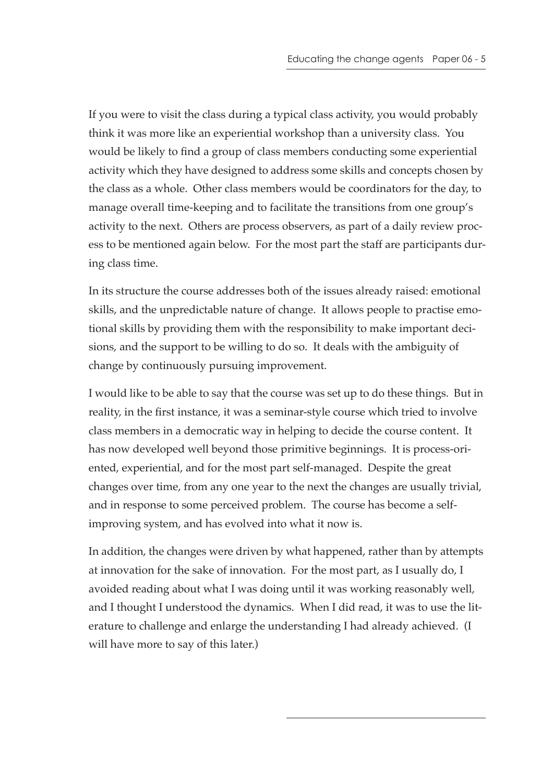If you were to visit the class during a typical class activity, you would probably think it was more like an experiential workshop than a university class. You would be likely to find a group of class members conducting some experiential activity which they have designed to address some skills and concepts chosen by the class as a whole. Other class members would be coordinators for the day, to manage overall time-keeping and to facilitate the transitions from one group's activity to the next. Others are process observers, as part of a daily review process to be mentioned again below. For the most part the staff are participants during class time.

In its structure the course addresses both of the issues already raised: emotional skills, and the unpredictable nature of change. It allows people to practise emotional skills by providing them with the responsibility to make important decisions, and the support to be willing to do so. It deals with the ambiguity of change by continuously pursuing improvement.

I would like to be able to say that the course was set up to do these things. But in reality, in the first instance, it was a seminar-style course which tried to involve class members in a democratic way in helping to decide the course content. It has now developed well beyond those primitive beginnings. It is process-oriented, experiential, and for the most part self-managed. Despite the great changes over time, from any one year to the next the changes are usually trivial, and in response to some perceived problem. The course has become a selfimproving system, and has evolved into what it now is.

In addition, the changes were driven by what happened, rather than by attempts at innovation for the sake of innovation. For the most part, as I usually do, I avoided reading about what I was doing until it was working reasonably well, and I thought I understood the dynamics. When I did read, it was to use the literature to challenge and enlarge the understanding I had already achieved. (I will have more to say of this later.)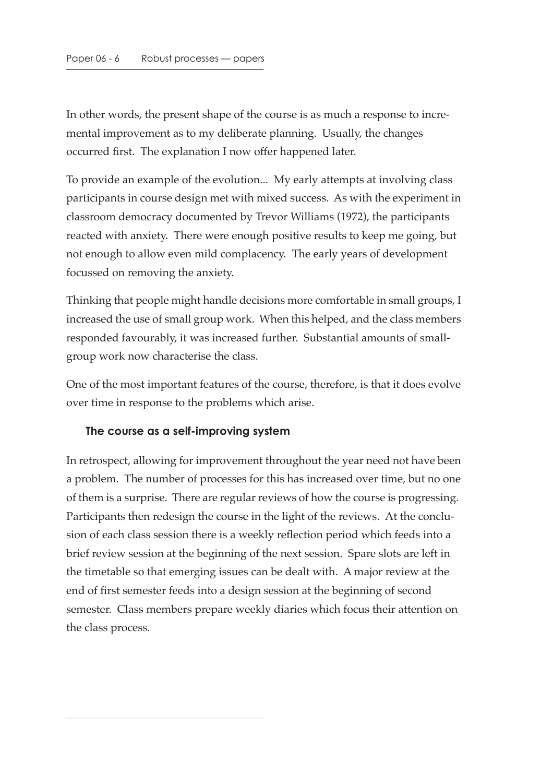In other words, the present shape of the course is as much a response to incremental improvement as to my deliberate planning. Usually, the changes occurred first. The explanation I now offer happened later.

To provide an example of the evolution... My early attempts at involving class participants in course design met with mixed success. As with the experiment in classroom democracy documented by Trevor Williams (1972), the participants reacted with anxiety. There were enough positive results to keep me going, but not enough to allow even mild complacency. The early years of development focussed on removing the anxiety.

Thinking that people might handle decisions more comfortable in small groups, I increased the use of small group work. When this helped, and the class members responded favourably, it was increased further. Substantial amounts of smallgroup work now characterise the class.

One of the most important features of the course, therefore, is that it does evolve over time in response to the problems which arise.

#### **The course as a self-improving system**

In retrospect, allowing for improvement throughout the year need not have been a problem. The number of processes for this has increased over time, but no one of them is a surprise. There are regular reviews of how the course is progressing. Participants then redesign the course in the light of the reviews. At the conclusion of each class session there is a weekly reflection period which feeds into a brief review session at the beginning of the next session. Spare slots are left in the timetable so that emerging issues can be dealt with. A major review at the end of first semester feeds into a design session at the beginning of second semester. Class members prepare weekly diaries which focus their attention on the class process.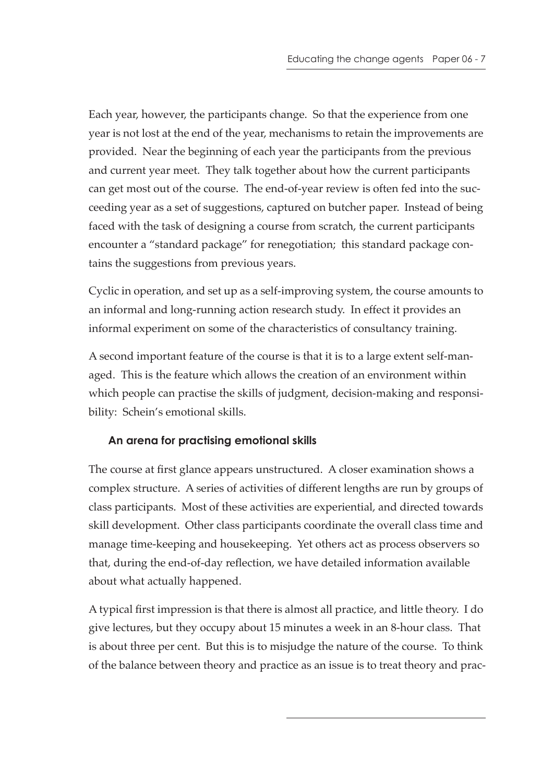Each year, however, the participants change. So that the experience from one year is not lost at the end of the year, mechanisms to retain the improvements are provided. Near the beginning of each year the participants from the previous and current year meet. They talk together about how the current participants can get most out of the course. The end-of-year review is often fed into the succeeding year as a set of suggestions, captured on butcher paper. Instead of being faced with the task of designing a course from scratch, the current participants encounter a "standard package" for renegotiation; this standard package contains the suggestions from previous years.

Cyclic in operation, and set up as a self-improving system, the course amounts to an informal and long-running action research study. In effect it provides an informal experiment on some of the characteristics of consultancy training.

A second important feature of the course is that it is to a large extent self-managed. This is the feature which allows the creation of an environment within which people can practise the skills of judgment, decision-making and responsibility: Schein's emotional skills.

# **An arena for practising emotional skills**

The course at first glance appears unstructured. A closer examination shows a complex structure. A series of activities of different lengths are run by groups of class participants. Most of these activities are experiential, and directed towards skill development. Other class participants coordinate the overall class time and manage time-keeping and housekeeping. Yet others act as process observers so that, during the end-of-day reflection, we have detailed information available about what actually happened.

A typical first impression is that there is almost all practice, and little theory. I do give lectures, but they occupy about 15 minutes a week in an 8-hour class. That is about three per cent. But this is to misjudge the nature of the course. To think of the balance between theory and practice as an issue is to treat theory and prac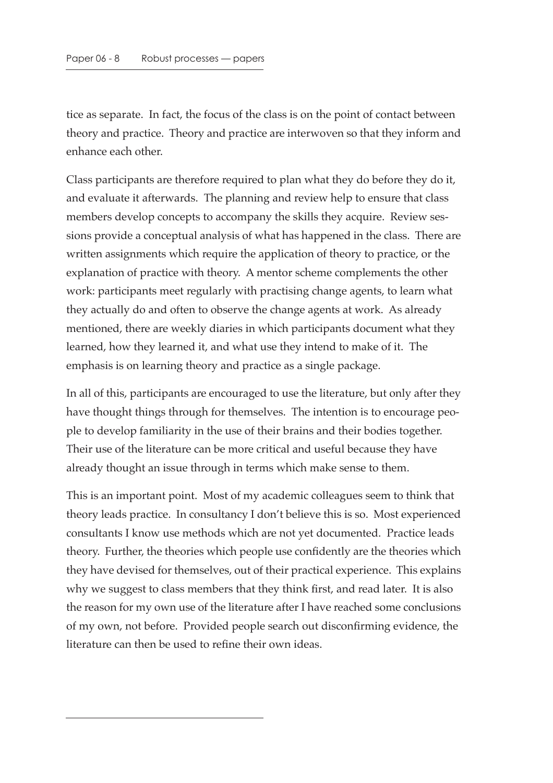tice as separate. In fact, the focus of the class is on the point of contact between theory and practice. Theory and practice are interwoven so that they inform and enhance each other.

Class participants are therefore required to plan what they do before they do it, and evaluate it afterwards. The planning and review help to ensure that class members develop concepts to accompany the skills they acquire. Review sessions provide a conceptual analysis of what has happened in the class. There are written assignments which require the application of theory to practice, or the explanation of practice with theory. A mentor scheme complements the other work: participants meet regularly with practising change agents, to learn what they actually do and often to observe the change agents at work. As already mentioned, there are weekly diaries in which participants document what they learned, how they learned it, and what use they intend to make of it. The emphasis is on learning theory and practice as a single package.

In all of this, participants are encouraged to use the literature, but only after they have thought things through for themselves. The intention is to encourage people to develop familiarity in the use of their brains and their bodies together. Their use of the literature can be more critical and useful because they have already thought an issue through in terms which make sense to them.

This is an important point. Most of my academic colleagues seem to think that theory leads practice. In consultancy I don't believe this is so. Most experienced consultants I know use methods which are not yet documented. Practice leads theory. Further, the theories which people use confidently are the theories which they have devised for themselves, out of their practical experience. This explains why we suggest to class members that they think first, and read later. It is also the reason for my own use of the literature after I have reached some conclusions of my own, not before. Provided people search out disconfirming evidence, the literature can then be used to refine their own ideas.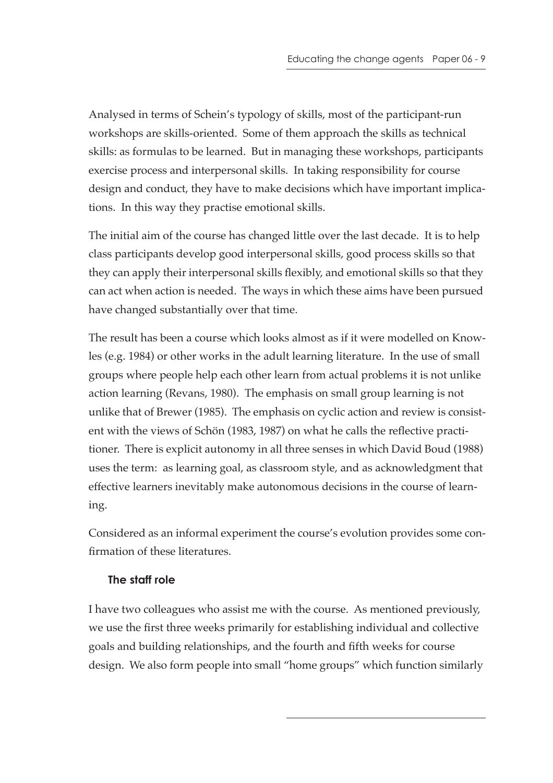Analysed in terms of Schein's typology of skills, most of the participant-run workshops are skills-oriented. Some of them approach the skills as technical skills: as formulas to be learned. But in managing these workshops, participants exercise process and interpersonal skills. In taking responsibility for course design and conduct, they have to make decisions which have important implications. In this way they practise emotional skills.

The initial aim of the course has changed little over the last decade. It is to help class participants develop good interpersonal skills, good process skills so that they can apply their interpersonal skills flexibly, and emotional skills so that they can act when action is needed. The ways in which these aims have been pursued have changed substantially over that time.

The result has been a course which looks almost as if it were modelled on Knowles (e.g. 1984) or other works in the adult learning literature. In the use of small groups where people help each other learn from actual problems it is not unlike action learning (Revans, 1980). The emphasis on small group learning is not unlike that of Brewer (1985). The emphasis on cyclic action and review is consistent with the views of Schön (1983, 1987) on what he calls the reflective practitioner. There is explicit autonomy in all three senses in which David Boud (1988) uses the term: as learning goal, as classroom style, and as acknowledgment that effective learners inevitably make autonomous decisions in the course of learning.

Considered as an informal experiment the course's evolution provides some confirmation of these literatures.

### **The staff role**

I have two colleagues who assist me with the course. As mentioned previously, we use the first three weeks primarily for establishing individual and collective goals and building relationships, and the fourth and fifth weeks for course design. We also form people into small "home groups" which function similarly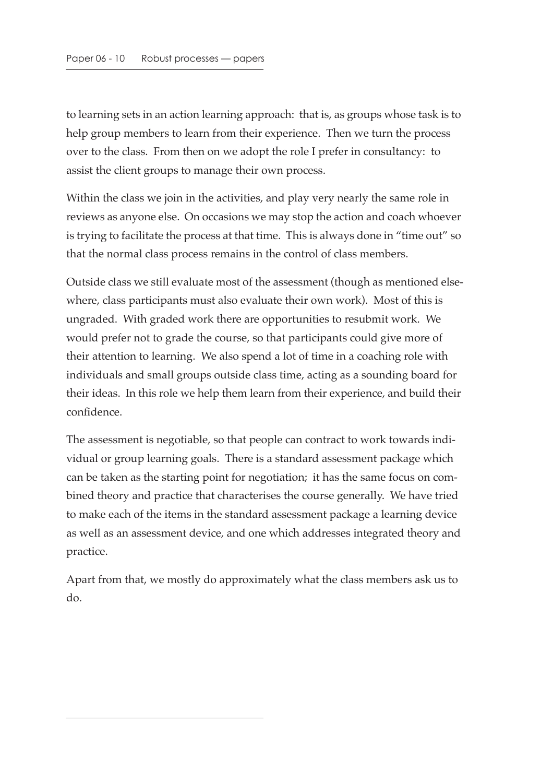to learning sets in an action learning approach: that is, as groups whose task is to help group members to learn from their experience. Then we turn the process over to the class. From then on we adopt the role I prefer in consultancy: to assist the client groups to manage their own process.

Within the class we join in the activities, and play very nearly the same role in reviews as anyone else. On occasions we may stop the action and coach whoever is trying to facilitate the process at that time. This is always done in "time out" so that the normal class process remains in the control of class members.

Outside class we still evaluate most of the assessment (though as mentioned elsewhere, class participants must also evaluate their own work). Most of this is ungraded. With graded work there are opportunities to resubmit work. We would prefer not to grade the course, so that participants could give more of their attention to learning. We also spend a lot of time in a coaching role with individuals and small groups outside class time, acting as a sounding board for their ideas. In this role we help them learn from their experience, and build their confidence.

The assessment is negotiable, so that people can contract to work towards individual or group learning goals. There is a standard assessment package which can be taken as the starting point for negotiation; it has the same focus on combined theory and practice that characterises the course generally. We have tried to make each of the items in the standard assessment package a learning device as well as an assessment device, and one which addresses integrated theory and practice.

Apart from that, we mostly do approximately what the class members ask us to do.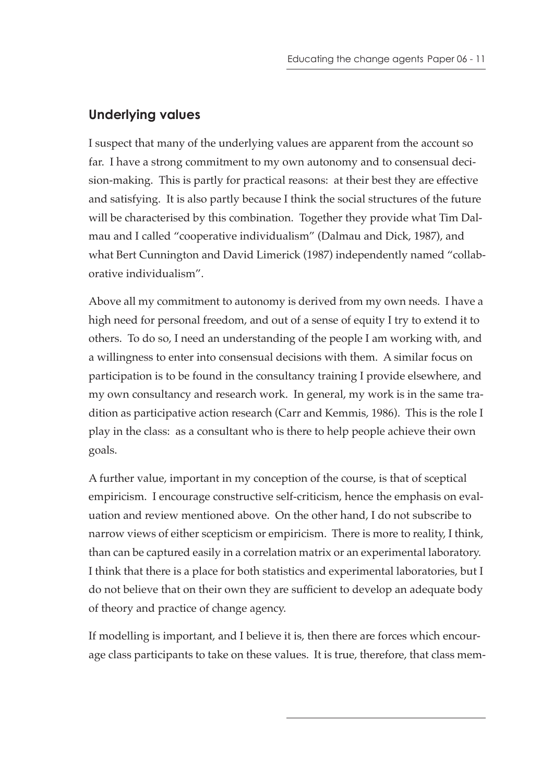# **Underlying values**

I suspect that many of the underlying values are apparent from the account so far. I have a strong commitment to my own autonomy and to consensual decision-making. This is partly for practical reasons: at their best they are effective and satisfying. It is also partly because I think the social structures of the future will be characterised by this combination. Together they provide what Tim Dalmau and I called "cooperative individualism" (Dalmau and Dick, 1987), and what Bert Cunnington and David Limerick (1987) independently named "collaborative individualism".

Above all my commitment to autonomy is derived from my own needs. I have a high need for personal freedom, and out of a sense of equity I try to extend it to others. To do so, I need an understanding of the people I am working with, and a willingness to enter into consensual decisions with them. A similar focus on participation is to be found in the consultancy training I provide elsewhere, and my own consultancy and research work. In general, my work is in the same tradition as participative action research (Carr and Kemmis, 1986). This is the role I play in the class: as a consultant who is there to help people achieve their own goals.

A further value, important in my conception of the course, is that of sceptical empiricism. I encourage constructive self-criticism, hence the emphasis on evaluation and review mentioned above. On the other hand, I do not subscribe to narrow views of either scepticism or empiricism. There is more to reality, I think, than can be captured easily in a correlation matrix or an experimental laboratory. I think that there is a place for both statistics and experimental laboratories, but I do not believe that on their own they are sufficient to develop an adequate body of theory and practice of change agency.

If modelling is important, and I believe it is, then there are forces which encourage class participants to take on these values. It is true, therefore, that class mem-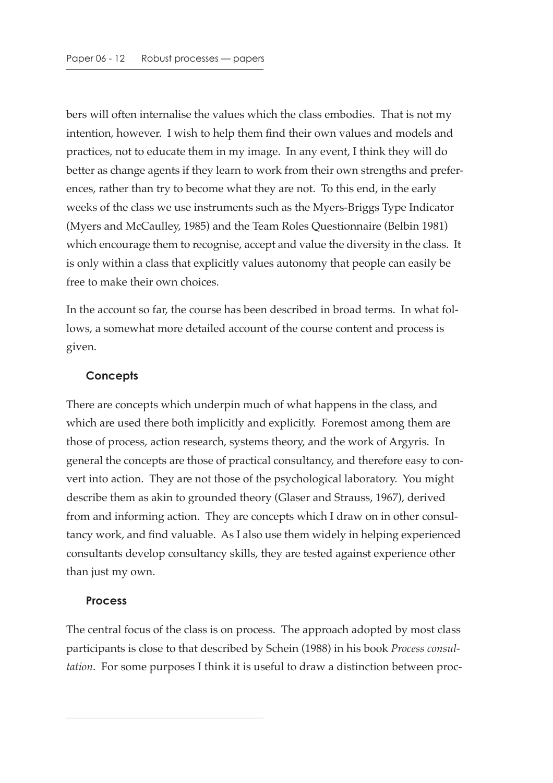bers will often internalise the values which the class embodies. That is not my intention, however. I wish to help them find their own values and models and practices, not to educate them in my image. In any event, I think they will do better as change agents if they learn to work from their own strengths and preferences, rather than try to become what they are not. To this end, in the early weeks of the class we use instruments such as the Myers-Briggs Type Indicator (Myers and McCaulley, 1985) and the Team Roles Questionnaire (Belbin 1981) which encourage them to recognise, accept and value the diversity in the class. It is only within a class that explicitly values autonomy that people can easily be free to make their own choices.

In the account so far, the course has been described in broad terms. In what follows, a somewhat more detailed account of the course content and process is given.

#### **Concepts**

There are concepts which underpin much of what happens in the class, and which are used there both implicitly and explicitly. Foremost among them are those of process, action research, systems theory, and the work of Argyris. In general the concepts are those of practical consultancy, and therefore easy to convert into action. They are not those of the psychological laboratory. You might describe them as akin to grounded theory (Glaser and Strauss, 1967), derived from and informing action. They are concepts which I draw on in other consultancy work, and find valuable. As I also use them widely in helping experienced consultants develop consultancy skills, they are tested against experience other than just my own.

#### **Process**

The central focus of the class is on process. The approach adopted by most class participants is close to that described by Schein (1988) in his book *Process consultation*. For some purposes I think it is useful to draw a distinction between proc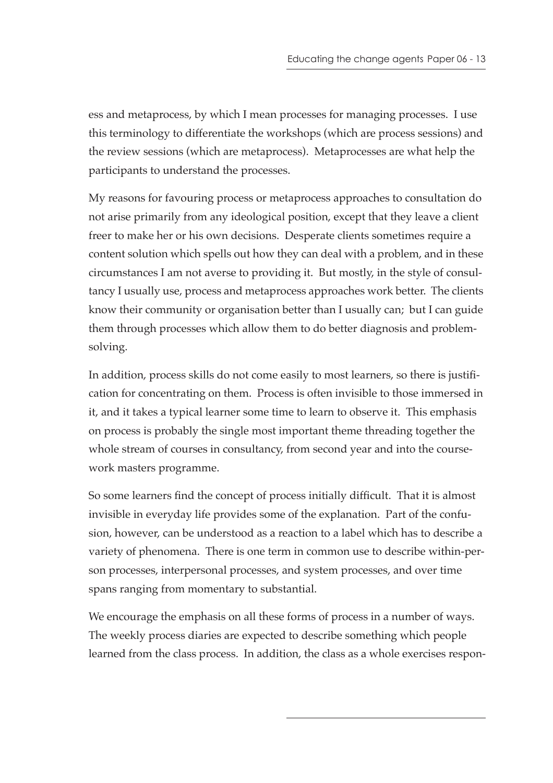ess and metaprocess, by which I mean processes for managing processes. I use this terminology to differentiate the workshops (which are process sessions) and the review sessions (which are metaprocess). Metaprocesses are what help the participants to understand the processes.

My reasons for favouring process or metaprocess approaches to consultation do not arise primarily from any ideological position, except that they leave a client freer to make her or his own decisions. Desperate clients sometimes require a content solution which spells out how they can deal with a problem, and in these circumstances I am not averse to providing it. But mostly, in the style of consultancy I usually use, process and metaprocess approaches work better. The clients know their community or organisation better than I usually can; but I can guide them through processes which allow them to do better diagnosis and problemsolving.

In addition, process skills do not come easily to most learners, so there is justification for concentrating on them. Process is often invisible to those immersed in it, and it takes a typical learner some time to learn to observe it. This emphasis on process is probably the single most important theme threading together the whole stream of courses in consultancy, from second year and into the coursework masters programme.

So some learners find the concept of process initially difficult. That it is almost invisible in everyday life provides some of the explanation. Part of the confusion, however, can be understood as a reaction to a label which has to describe a variety of phenomena. There is one term in common use to describe within-person processes, interpersonal processes, and system processes, and over time spans ranging from momentary to substantial.

We encourage the emphasis on all these forms of process in a number of ways. The weekly process diaries are expected to describe something which people learned from the class process. In addition, the class as a whole exercises respon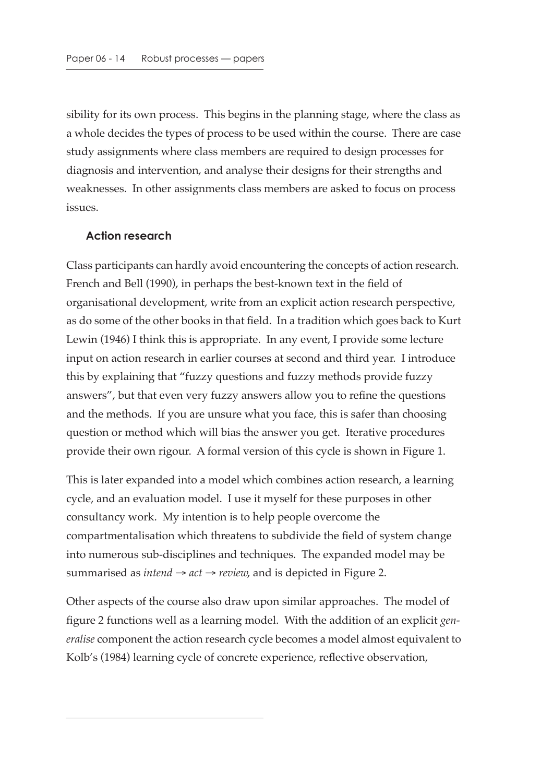sibility for its own process. This begins in the planning stage, where the class as a whole decides the types of process to be used within the course. There are case study assignments where class members are required to design processes for diagnosis and intervention, and analyse their designs for their strengths and weaknesses. In other assignments class members are asked to focus on process issues.

#### **Action research**

Class participants can hardly avoid encountering the concepts of action research. French and Bell (1990), in perhaps the best-known text in the field of organisational development, write from an explicit action research perspective, as do some of the other books in that field. In a tradition which goes back to Kurt Lewin (1946) I think this is appropriate. In any event, I provide some lecture input on action research in earlier courses at second and third year. I introduce this by explaining that "fuzzy questions and fuzzy methods provide fuzzy answers", but that even very fuzzy answers allow you to refine the questions and the methods. If you are unsure what you face, this is safer than choosing question or method which will bias the answer you get. Iterative procedures provide their own rigour. A formal version of this cycle is shown in Figure 1.

This is later expanded into a model which combines action research, a learning cycle, and an evaluation model. I use it myself for these purposes in other consultancy work. My intention is to help people overcome the compartmentalisation which threatens to subdivide the field of system change into numerous sub-disciplines and techniques. The expanded model may be summarised as *intend*  $\rightarrow$  *act*  $\rightarrow$  *review*, and is depicted in Figure 2.

Other aspects of the course also draw upon similar approaches. The model of figure 2 functions well as a learning model. With the addition of an explicit *generalise* component the action research cycle becomes a model almost equivalent to Kolb's (1984) learning cycle of concrete experience, reflective observation,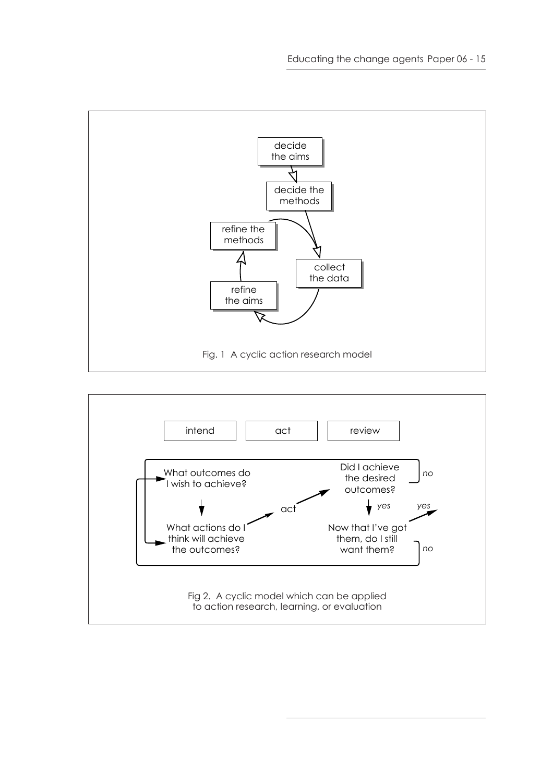

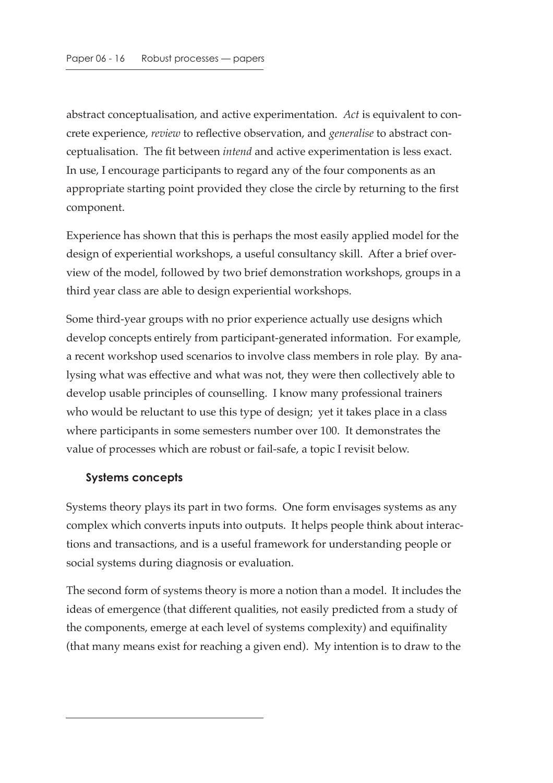abstract conceptualisation, and active experimentation. *Act* is equivalent to concrete experience, *review* to reflective observation, and *generalise* to abstract conceptualisation. The fit between *intend* and active experimentation is less exact. In use, I encourage participants to regard any of the four components as an appropriate starting point provided they close the circle by returning to the first component.

Experience has shown that this is perhaps the most easily applied model for the design of experiential workshops, a useful consultancy skill. After a brief overview of the model, followed by two brief demonstration workshops, groups in a third year class are able to design experiential workshops.

Some third-year groups with no prior experience actually use designs which develop concepts entirely from participant-generated information. For example, a recent workshop used scenarios to involve class members in role play. By analysing what was effective and what was not, they were then collectively able to develop usable principles of counselling. I know many professional trainers who would be reluctant to use this type of design; yet it takes place in a class where participants in some semesters number over 100. It demonstrates the value of processes which are robust or fail-safe, a topic I revisit below.

#### **Systems concepts**

Systems theory plays its part in two forms. One form envisages systems as any complex which converts inputs into outputs. It helps people think about interactions and transactions, and is a useful framework for understanding people or social systems during diagnosis or evaluation.

The second form of systems theory is more a notion than a model. It includes the ideas of emergence (that different qualities, not easily predicted from a study of the components, emerge at each level of systems complexity) and equifinality (that many means exist for reaching a given end). My intention is to draw to the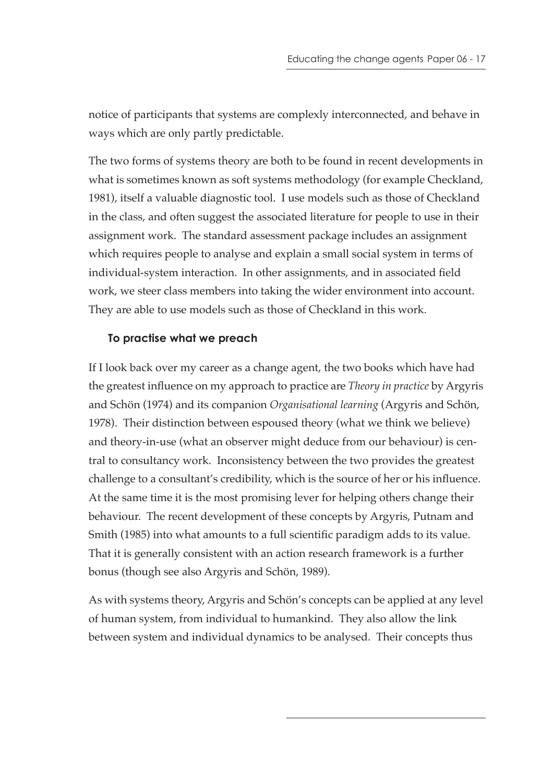notice of participants that systems are complexly interconnected, and behave in ways which are only partly predictable.

The two forms of systems theory are both to be found in recent developments in what is sometimes known as soft systems methodology (for example Checkland, 1981), itself a valuable diagnostic tool. I use models such as those of Checkland in the class, and often suggest the associated literature for people to use in their assignment work. The standard assessment package includes an assignment which requires people to analyse and explain a small social system in terms of individual-system interaction. In other assignments, and in associated field work, we steer class members into taking the wider environment into account. They are able to use models such as those of Checkland in this work.

#### **To practise what we preach**

If I look back over my career as a change agent, the two books which have had the greatest influence on my approach to practice are *Theory in practice* by Argyris and Schön (1974) and its companion *Organisational learning* (Argyris and Schön, 1978). Their distinction between espoused theory (what we think we believe) and theory-in-use (what an observer might deduce from our behaviour) is central to consultancy work. Inconsistency between the two provides the greatest challenge to a consultant's credibility, which is the source of her or his influence. At the same time it is the most promising lever for helping others change their behaviour. The recent development of these concepts by Argyris, Putnam and Smith (1985) into what amounts to a full scientific paradigm adds to its value. That it is generally consistent with an action research framework is a further bonus (though see also Argyris and Schön, 1989).

As with systems theory, Argyris and Schön's concepts can be applied at any level of human system, from individual to humankind. They also allow the link between system and individual dynamics to be analysed. Their concepts thus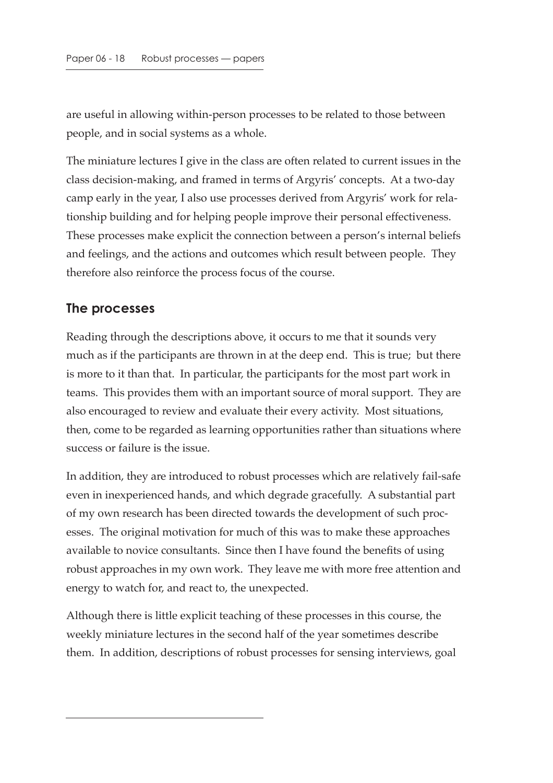are useful in allowing within-person processes to be related to those between people, and in social systems as a whole.

The miniature lectures I give in the class are often related to current issues in the class decision-making, and framed in terms of Argyris' concepts. At a two-day camp early in the year, I also use processes derived from Argyris' work for relationship building and for helping people improve their personal effectiveness. These processes make explicit the connection between a person's internal beliefs and feelings, and the actions and outcomes which result between people. They therefore also reinforce the process focus of the course.

### **The processes**

Reading through the descriptions above, it occurs to me that it sounds very much as if the participants are thrown in at the deep end. This is true; but there is more to it than that. In particular, the participants for the most part work in teams. This provides them with an important source of moral support. They are also encouraged to review and evaluate their every activity. Most situations, then, come to be regarded as learning opportunities rather than situations where success or failure is the issue.

In addition, they are introduced to robust processes which are relatively fail-safe even in inexperienced hands, and which degrade gracefully. A substantial part of my own research has been directed towards the development of such processes. The original motivation for much of this was to make these approaches available to novice consultants. Since then I have found the benefits of using robust approaches in my own work. They leave me with more free attention and energy to watch for, and react to, the unexpected.

Although there is little explicit teaching of these processes in this course, the weekly miniature lectures in the second half of the year sometimes describe them. In addition, descriptions of robust processes for sensing interviews, goal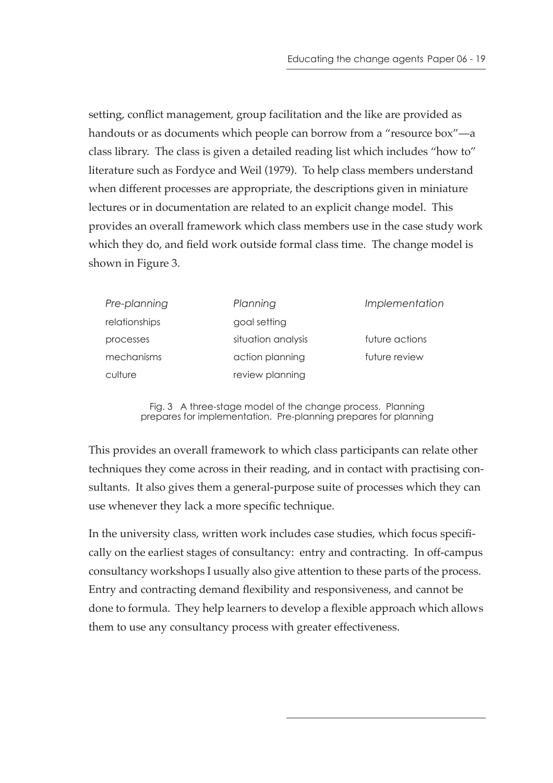setting, conflict management, group facilitation and the like are provided as handouts or as documents which people can borrow from a "resource box"—a class library. The class is given a detailed reading list which includes "how to" literature such as Fordyce and Weil (1979). To help class members understand when different processes are appropriate, the descriptions given in miniature lectures or in documentation are related to an explicit change model. This provides an overall framework which class members use in the case study work which they do, and field work outside formal class time. The change model is shown in Figure 3.

| Pre-planning  | Planning           | Implementation |
|---------------|--------------------|----------------|
| relationships | goal setting       |                |
| processes     | situation analysis | future actions |
| mechanisms    | action planning    | future review  |
| culture       | review planning    |                |

Fig. 3 A three-stage model of the change process. Planning prepares for implementation. Pre-planning prepares for planning

This provides an overall framework to which class participants can relate other techniques they come across in their reading, and in contact with practising consultants. It also gives them a general-purpose suite of processes which they can use whenever they lack a more specific technique.

In the university class, written work includes case studies, which focus specifically on the earliest stages of consultancy: entry and contracting. In off-campus consultancy workshops I usually also give attention to these parts of the process. Entry and contracting demand flexibility and responsiveness, and cannot be done to formula. They help learners to develop a flexible approach which allows them to use any consultancy process with greater effectiveness.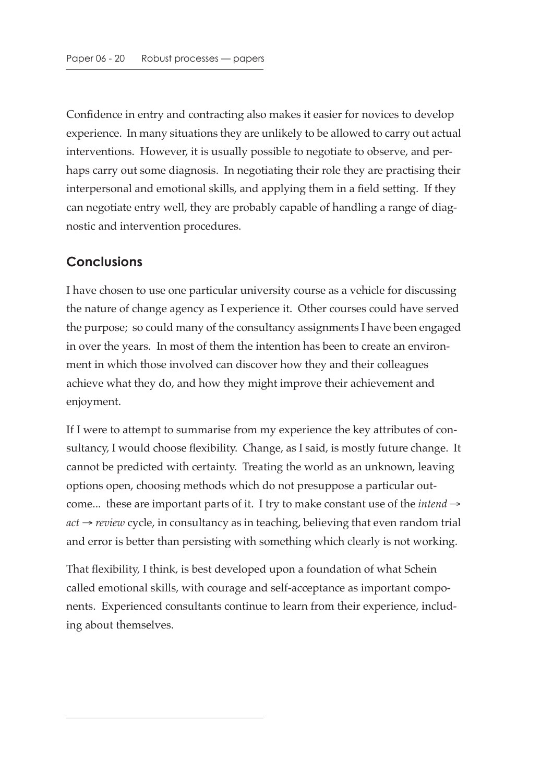Confidence in entry and contracting also makes it easier for novices to develop experience. In many situations they are unlikely to be allowed to carry out actual interventions. However, it is usually possible to negotiate to observe, and perhaps carry out some diagnosis. In negotiating their role they are practising their interpersonal and emotional skills, and applying them in a field setting. If they can negotiate entry well, they are probably capable of handling a range of diagnostic and intervention procedures.

# **Conclusions**

I have chosen to use one particular university course as a vehicle for discussing the nature of change agency as I experience it. Other courses could have served the purpose; so could many of the consultancy assignments I have been engaged in over the years. In most of them the intention has been to create an environment in which those involved can discover how they and their colleagues achieve what they do, and how they might improve their achievement and enjoyment.

If I were to attempt to summarise from my experience the key attributes of consultancy, I would choose flexibility. Change, as I said, is mostly future change. It cannot be predicted with certainty. Treating the world as an unknown, leaving options open, choosing methods which do not presuppose a particular outcome... these are important parts of it. I try to make constant use of the *intend* →  $act \rightarrow review$  cycle, in consultancy as in teaching, believing that even random trial and error is better than persisting with something which clearly is not working.

That flexibility, I think, is best developed upon a foundation of what Schein called emotional skills, with courage and self-acceptance as important components. Experienced consultants continue to learn from their experience, including about themselves.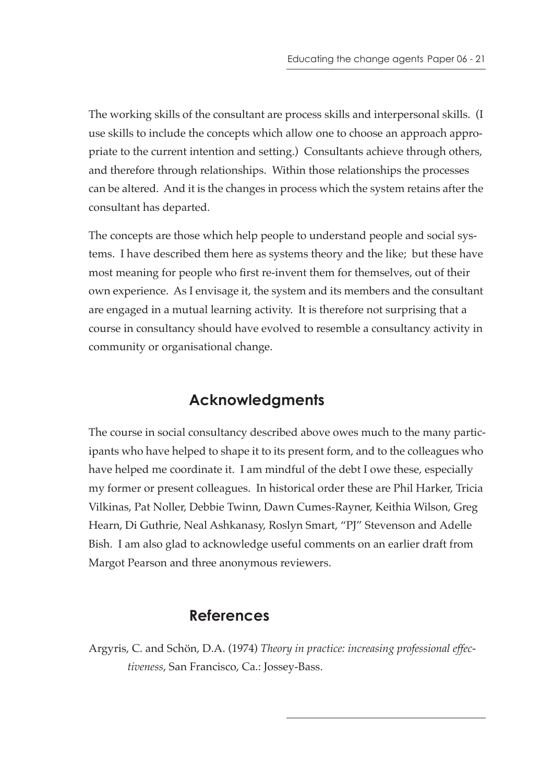The working skills of the consultant are process skills and interpersonal skills. (I use skills to include the concepts which allow one to choose an approach appropriate to the current intention and setting.) Consultants achieve through others, and therefore through relationships. Within those relationships the processes can be altered. And it is the changes in process which the system retains after the consultant has departed.

The concepts are those which help people to understand people and social systems. I have described them here as systems theory and the like; but these have most meaning for people who first re-invent them for themselves, out of their own experience. As I envisage it, the system and its members and the consultant are engaged in a mutual learning activity. It is therefore not surprising that a course in consultancy should have evolved to resemble a consultancy activity in community or organisational change.

# **Acknowledgments**

The course in social consultancy described above owes much to the many participants who have helped to shape it to its present form, and to the colleagues who have helped me coordinate it. I am mindful of the debt I owe these, especially my former or present colleagues. In historical order these are Phil Harker, Tricia Vilkinas, Pat Noller, Debbie Twinn, Dawn Cumes-Rayner, Keithia Wilson, Greg Hearn, Di Guthrie, Neal Ashkanasy, Roslyn Smart, "PJ" Stevenson and Adelle Bish. I am also glad to acknowledge useful comments on an earlier draft from Margot Pearson and three anonymous reviewers.

# **References**

Argyris, C. and Schön, D.A. (1974) *Theory in practice: increasing professional effectiveness*, San Francisco, Ca.: Jossey-Bass.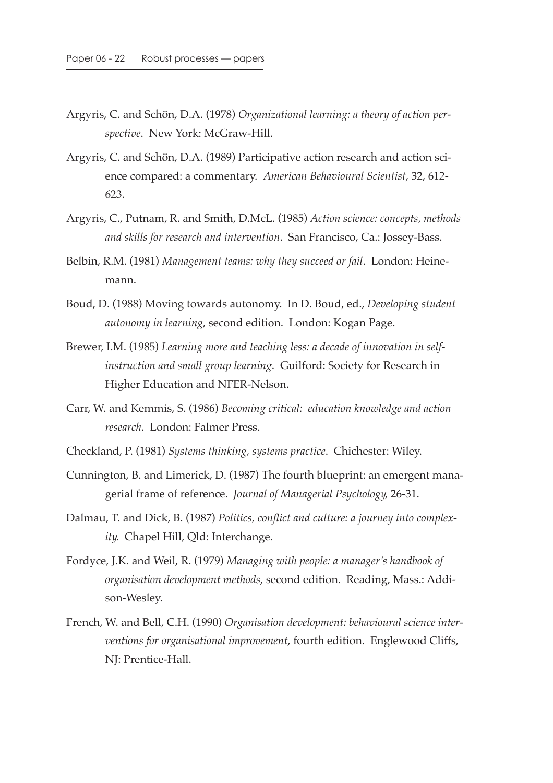- Argyris, C. and Schön, D.A. (1978) *Organizational learning: a theory of action perspective*. New York: McGraw-Hill.
- Argyris, C. and Schön, D.A. (1989) Participative action research and action science compared: a commentary. *American Behavioural Scientist*, 32, 612- 623.
- Argyris, C., Putnam, R. and Smith, D.McL. (1985) *Action science: concepts, methods and skills for research and intervention*. San Francisco, Ca.: Jossey-Bass.
- Belbin, R.M. (1981) *Management teams: why they succeed or fail*. London: Heinemann.
- Boud, D. (1988) Moving towards autonomy. In D. Boud, ed., *Developing student autonomy in learning*, second edition. London: Kogan Page.
- Brewer, I.M. (1985) *Learning more and teaching less: a decade of innovation in selfinstruction and small group learning*. Guilford: Society for Research in Higher Education and NFER-Nelson.
- Carr, W. and Kemmis, S. (1986) *Becoming critical: education knowledge and action research*. London: Falmer Press.
- Checkland, P. (1981) *Systems thinking, systems practice*. Chichester: Wiley.
- Cunnington, B. and Limerick, D. (1987) The fourth blueprint: an emergent managerial frame of reference. *Journal of Managerial Psychology*, 26-31.
- Dalmau, T. and Dick, B. (1987) *Politics, conflict and culture: a journey into complexity*. Chapel Hill, Qld: Interchange.
- Fordyce, J.K. and Weil, R. (1979) *Managing with people: a manager's handbook of organisation development methods*, second edition. Reading, Mass.: Addison-Wesley.
- French, W. and Bell, C.H. (1990) *Organisation development: behavioural science interventions for organisational improvement*, fourth edition. Englewood Cliffs, NJ: Prentice-Hall.